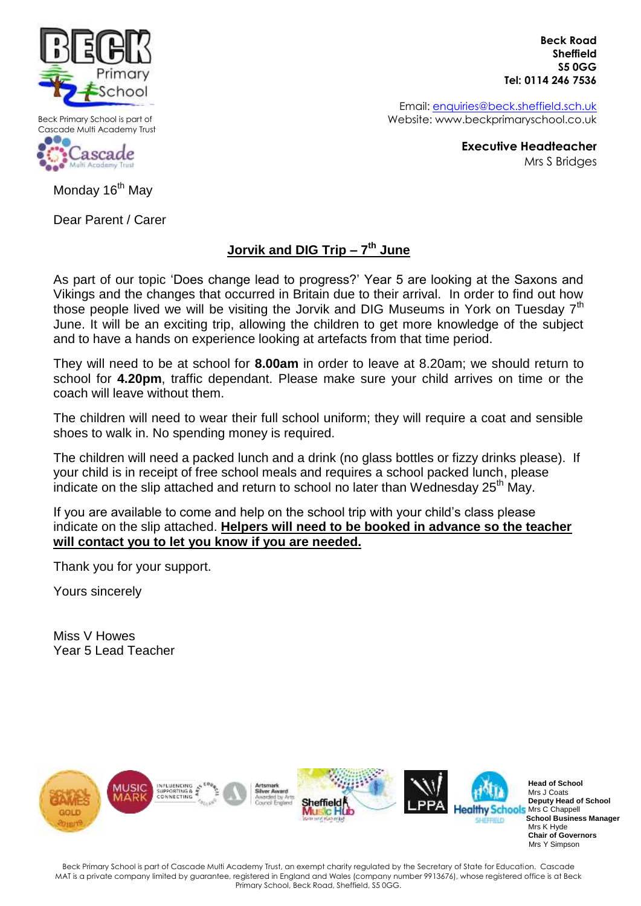

Beck Primary School is part of Cascade Multi Academy Trust



 **Beck Road Sheffield S5 0GG Tel: 0114 246 7536**

Email: [enquiries@beck.sheffield.sch.uk](mailto:enquiries@beck.sheffield.sch.uk) Website: www.beckprimaryschool.co.uk

> **Executive Headteacher** Mrs S Bridges

Monday 16<sup>th</sup> May

Dear Parent / Carer

## **Jorvik and DIG Trip – 7 th June**

As part of our topic 'Does change lead to progress?' Year 5 are looking at the Saxons and Vikings and the changes that occurred in Britain due to their arrival. In order to find out how those people lived we will be visiting the Jorvik and DIG Museums in York on Tuesday  $7<sup>th</sup>$ June. It will be an exciting trip, allowing the children to get more knowledge of the subject and to have a hands on experience looking at artefacts from that time period.

They will need to be at school for **8.00am** in order to leave at 8.20am; we should return to school for **4.20pm**, traffic dependant. Please make sure your child arrives on time or the coach will leave without them.

The children will need to wear their full school uniform; they will require a coat and sensible shoes to walk in. No spending money is required.

The children will need a packed lunch and a drink (no glass bottles or fizzy drinks please). If your child is in receipt of free school meals and requires a school packed lunch, please indicate on the slip attached and return to school no later than Wednesday  $25<sup>th</sup>$  May.

If you are available to come and help on the school trip with your child's class please indicate on the slip attached. **Helpers will need to be booked in advance so the teacher will contact you to let you know if you are needed.**

Thank you for your support.

Yours sincerely

Miss V Howes Year 5 Lead Teacher



Beck Primary School is part of Cascade Multi Academy Trust, an exempt charity regulated by the Secretary of State for Education. Cascade MAT is a private company limited by guarantee, registered in England and Wales (company number 9913676), whose registered office is at Beck Primary School, Beck Road, Sheffield, S5 0GG.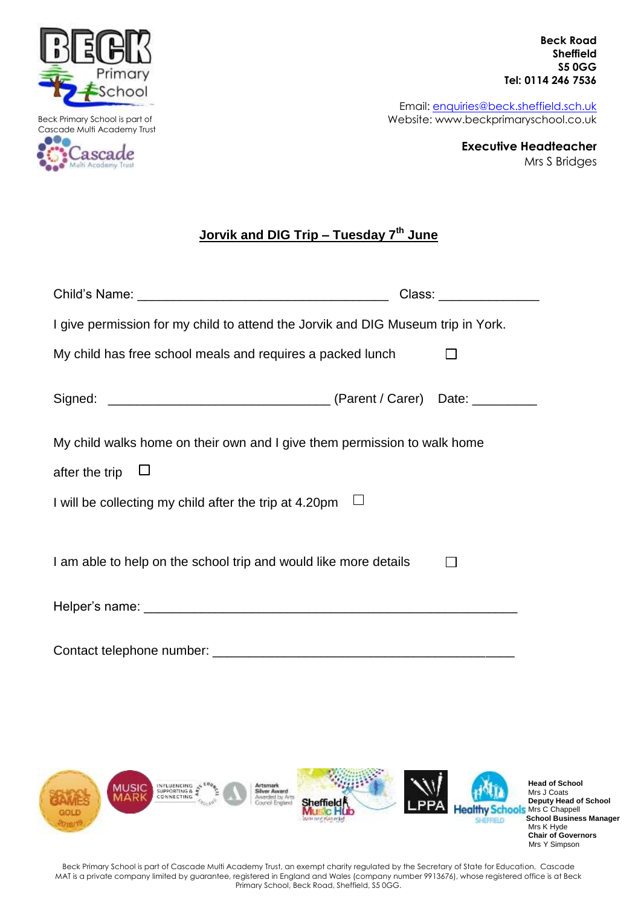

Beck Primary School is part of Cascade Multi Academy Trust e di a ascade

Academy Trust

 **Beck Road Sheffield S5 0GG Tel: 0114 246 7536**

Email: [enquiries@beck.sheffield.sch.uk](mailto:enquiries@beck.sheffield.sch.uk) Website: www.beckprimaryschool.co.uk

> **Executive Headteacher** Mrs S Bridges

## **Jorvik and DIG Trip – Tuesday 7th June**

|                                                                                  | Class: Electric Class of the Class of the Class of the Class of the Class of the Class of the Class of the Cla |
|----------------------------------------------------------------------------------|----------------------------------------------------------------------------------------------------------------|
| I give permission for my child to attend the Jorvik and DIG Museum trip in York. |                                                                                                                |
| My child has free school meals and requires a packed lunch                       |                                                                                                                |
|                                                                                  |                                                                                                                |
| My child walks home on their own and I give them permission to walk home         |                                                                                                                |
| after the trip                                                                   |                                                                                                                |
| I will be collecting my child after the trip at 4.20pm                           |                                                                                                                |
|                                                                                  |                                                                                                                |
| I am able to help on the school trip and would like more details                 |                                                                                                                |
|                                                                                  |                                                                                                                |
| Contact telephone number:                                                        |                                                                                                                |



Beck Primary School is part of Cascade Multi Academy Trust, an exempt charity regulated by the Secretary of State for Education. Cascade MAT is a private company limited by guarantee, registered in England and Wales (company number 9913676), whose registered office is at Beck Primary School, Beck Road, Sheffield, S5 0GG.